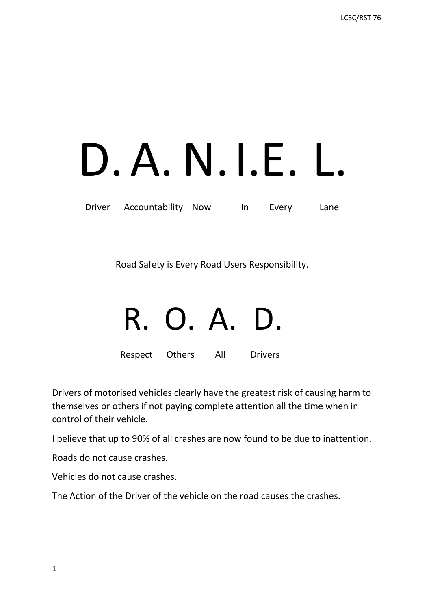# D. A. N. I.E. L.<br>Driver Accountability Now In Every Lane

Road Safety is Every Road Users Responsibility.

### R. O. A. D.

Respect Others All Drivers

Drivers of motorised vehicles clearly have the greatest risk of causing harm to themselves or others if not paying complete attention all the time when in control of their vehicle.

I believe that up to 90% of all crashes are now found to be due to inattention.

Roads do not cause crashes.

Vehicles do not cause crashes.

The Action of the Driver of the vehicle on the road causes the crashes.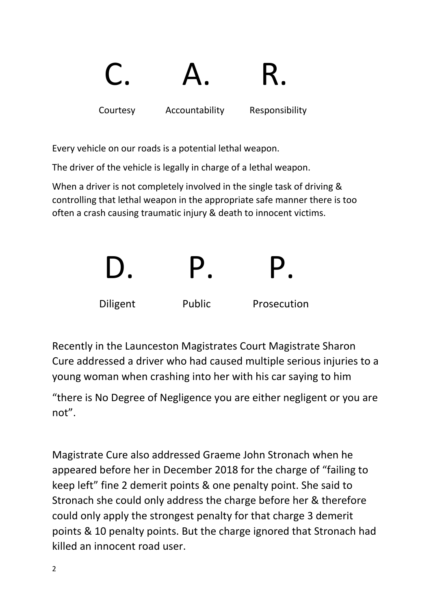

Every vehicle on our roads is a potential lethal weapon.

The driver of the vehicle is legally in charge of a lethal weapon.

When a driver is not completely involved in the single task of driving & controlling that lethal weapon in the appropriate safe manner there is too often a crash causing traumatic injury & death to innocent victims.



Recently in the Launceston Magistrates Court Magistrate Sharon Cure addressed a driver who had caused multiple serious injuries to a young woman when crashing into her with his car saying to him

"there is No Degree of Negligence you are either negligent or you are not".

Magistrate Cure also addressed Graeme John Stronach when he appeared before her in December 2018 for the charge of "failing to keep left" fine 2 demerit points & one penalty point. She said to Stronach she could only address the charge before her & therefore could only apply the strongest penalty for that charge 3 demerit points & 10 penalty points. But the charge ignored that Stronach had killed an innocent road user.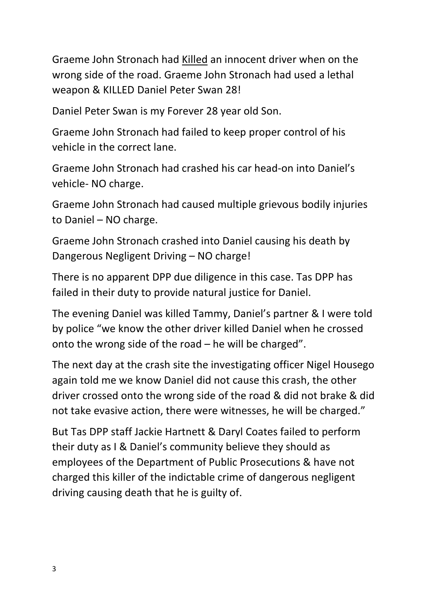Graeme John Stronach had Killed an innocent driver when on the wrong side of the road. Graeme John Stronach had used a lethal weapon & KILLED Daniel Peter Swan 28!

Daniel Peter Swan is my Forever 28 year old Son.

Graeme John Stronach had failed to keep proper control of his vehicle in the correct lane.

Graeme John Stronach had crashed his car head-on into Daniel's vehicle- NO charge.

Graeme John Stronach had caused multiple grievous bodily injuries to Daniel – NO charge.

Graeme John Stronach crashed into Daniel causing his death by Dangerous Negligent Driving – NO charge!

There is no apparent DPP due diligence in this case. Tas DPP has failed in their duty to provide natural justice for Daniel.

The evening Daniel was killed Tammy, Daniel's partner & I were told by police "we know the other driver killed Daniel when he crossed onto the wrong side of the road – he will be charged".

The next day at the crash site the investigating officer Nigel Housego again told me we know Daniel did not cause this crash, the other driver crossed onto the wrong side of the road & did not brake & did not take evasive action, there were witnesses, he will be charged."

But Tas DPP staff Jackie Hartnett & Daryl Coates failed to perform their duty as I & Daniel's community believe they should as employees of the Department of Public Prosecutions & have not charged this killer of the indictable crime of dangerous negligent driving causing death that he is guilty of.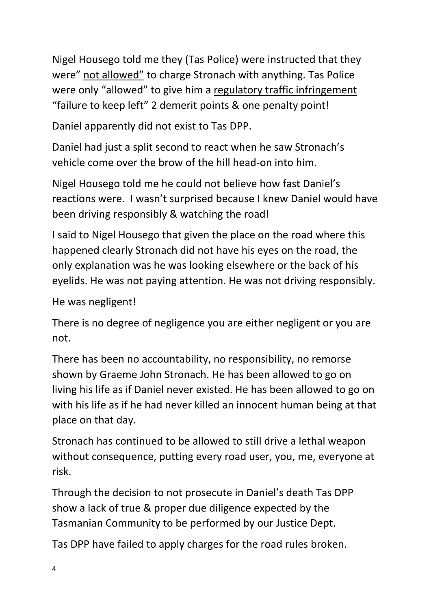Nigel Housego told me they (Tas Police) were instructed that they were" not allowed" to charge Stronach with anything. Tas Police were only "allowed" to give him a regulatory traffic infringement "failure to keep left" 2 demerit points & one penalty point!

Daniel apparently did not exist to Tas DPP.

Daniel had just a split second to react when he saw Stronach's vehicle come over the brow of the hill head-on into him.

Nigel Housego told me he could not believe how fast Daniel's reactions were. I wasn't surprised because I knew Daniel would have been driving responsibly & watching the road!

I said to Nigel Housego that given the place on the road where this happened clearly Stronach did not have his eyes on the road, the only explanation was he was looking elsewhere or the back of his eyelids. He was not paying attention. He was not driving responsibly.

He was negligent!

There is no degree of negligence you are either negligent or you are not.

There has been no accountability, no responsibility, no remorse shown by Graeme John Stronach. He has been allowed to go on living his life as if Daniel never existed. He has been allowed to go on with his life as if he had never killed an innocent human being at that place on that day.

Stronach has continued to be allowed to still drive a lethal weapon without consequence, putting every road user, you, me, everyone at risk.

Through the decision to not prosecute in Daniel's death Tas DPP show a lack of true & proper due diligence expected by the Tasmanian Community to be performed by our Justice Dept.

Tas DPP have failed to apply charges for the road rules broken.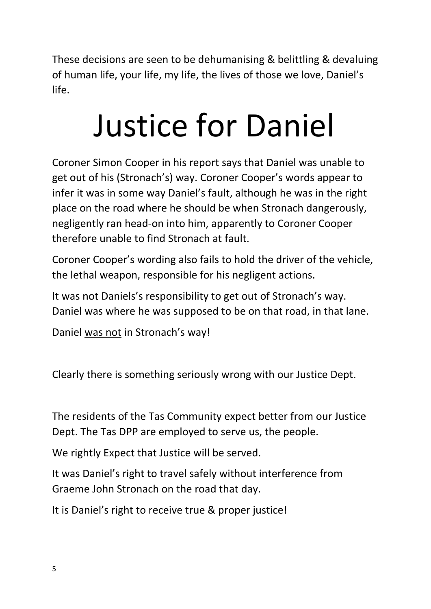These decisions are seen to be dehumanising & belittling & devaluing of human life, your life, my life, the lives of those we love, Daniel's life.

## Justice for Daniel

Coroner Simon Cooper in his report says that Daniel was unable to get out of his (Stronach's) way. Coroner Cooper's words appear to infer it was in some way Daniel's fault, although he was in the right place on the road where he should be when Stronach dangerously, negligently ran head-on into him, apparently to Coroner Cooper therefore unable to find Stronach at fault.

Coroner Cooper's wording also fails to hold the driver of the vehicle, the lethal weapon, responsible for his negligent actions.

It was not Daniels's responsibility to get out of Stronach's way. Daniel was where he was supposed to be on that road, in that lane.

Daniel was not in Stronach's way!

Clearly there is something seriously wrong with our Justice Dept.

The residents of the Tas Community expect better from our Justice Dept. The Tas DPP are employed to serve us, the people.

We rightly Expect that Justice will be served.

It was Daniel's right to travel safely without interference from Graeme John Stronach on the road that day.

It is Daniel's right to receive true & proper justice!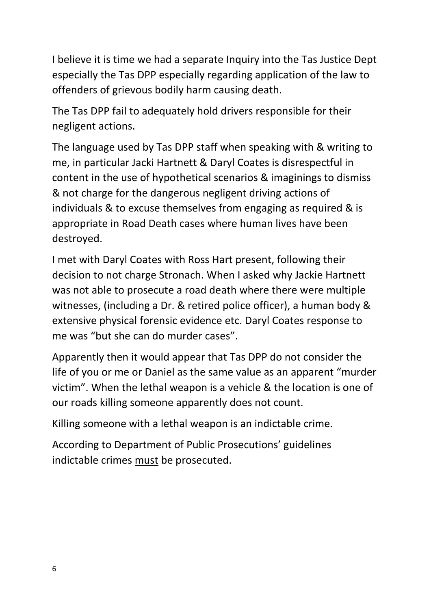I believe it is time we had a separate Inquiry into the Tas Justice Dept especially the Tas DPP especially regarding application of the law to offenders of grievous bodily harm causing death.

The Tas DPP fail to adequately hold drivers responsible for their negligent actions.

The language used by Tas DPP staff when speaking with & writing to me, in particular Jacki Hartnett & Daryl Coates is disrespectful in content in the use of hypothetical scenarios & imaginings to dismiss & not charge for the dangerous negligent driving actions of individuals & to excuse themselves from engaging as required & is appropriate in Road Death cases where human lives have been destroyed.

I met with Daryl Coates with Ross Hart present, following their decision to not charge Stronach. When I asked why Jackie Hartnett was not able to prosecute a road death where there were multiple witnesses, (including a Dr. & retired police officer), a human body & extensive physical forensic evidence etc. Daryl Coates response to me was "but she can do murder cases".

Apparently then it would appear that Tas DPP do not consider the life of you or me or Daniel as the same value as an apparent "murder victim". When the lethal weapon is a vehicle & the location is one of our roads killing someone apparently does not count.

Killing someone with a lethal weapon is an indictable crime.

According to Department of Public Prosecutions' guidelines indictable crimes must be prosecuted.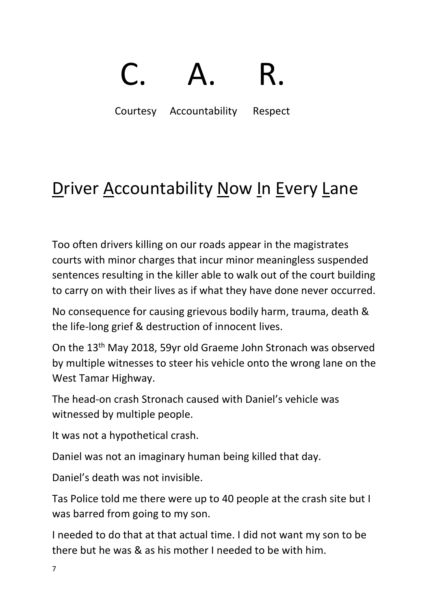## C. A. R.<br>Courtesy Accountability Respect

### Driver Accountability Now In Every Lane

Too often drivers killing on our roads appear in the magistrates courts with minor charges that incur minor meaningless suspended sentences resulting in the killer able to walk out of the court building to carry on with their lives as if what they have done never occurred.

No consequence for causing grievous bodily harm, trauma, death & the life-long grief & destruction of innocent lives.

On the 13th May 2018, 59yr old Graeme John Stronach was observed by multiple witnesses to steer his vehicle onto the wrong lane on the West Tamar Highway.

The head-on crash Stronach caused with Daniel's vehicle was witnessed by multiple people.

It was not a hypothetical crash.

Daniel was not an imaginary human being killed that day.

Daniel's death was not invisible.

Tas Police told me there were up to 40 people at the crash site but I was barred from going to my son.

I needed to do that at that actual time. I did not want my son to be there but he was & as his mother I needed to be with him.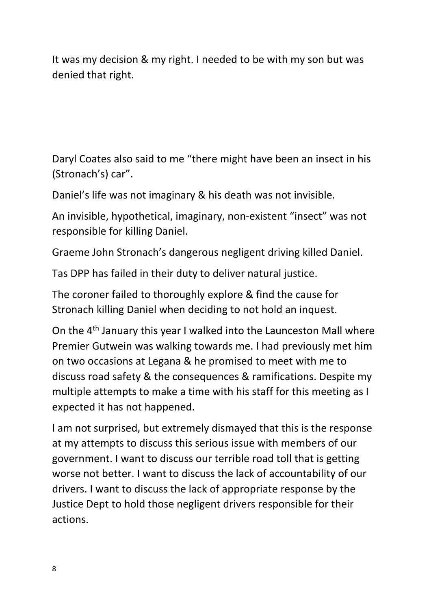It was my decision & my right. I needed to be with my son but was denied that right.

Daryl Coates also said to me "there might have been an insect in his (Stronach's) car".

Daniel's life was not imaginary & his death was not invisible.

An invisible, hypothetical, imaginary, non-existent "insect" was not responsible for killing Daniel.

Graeme John Stronach's dangerous negligent driving killed Daniel.

Tas DPP has failed in their duty to deliver natural justice.

The coroner failed to thoroughly explore & find the cause for Stronach killing Daniel when deciding to not hold an inquest.

On the 4<sup>th</sup> January this year I walked into the Launceston Mall where Premier Gutwein was walking towards me. I had previously met him on two occasions at Legana & he promised to meet with me to discuss road safety & the consequences & ramifications. Despite my multiple attempts to make a time with his staff for this meeting as I expected it has not happened.

I am not surprised, but extremely dismayed that this is the response at my attempts to discuss this serious issue with members of our government. I want to discuss our terrible road toll that is getting worse not better. I want to discuss the lack of accountability of our drivers. I want to discuss the lack of appropriate response by the Justice Dept to hold those negligent drivers responsible for their actions.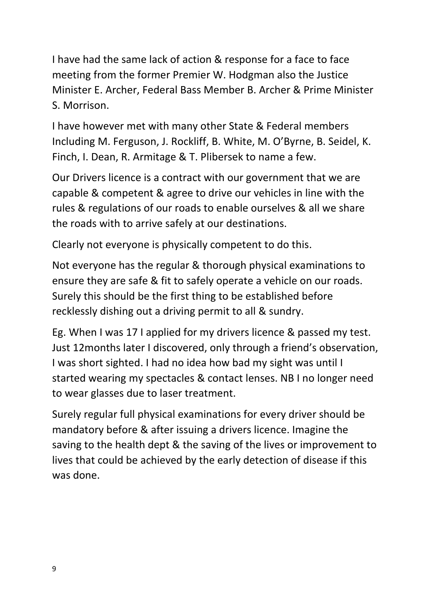I have had the same lack of action & response for a face to face meeting from the former Premier W. Hodgman also the Justice Minister E. Archer, Federal Bass Member B. Archer & Prime Minister S. Morrison.

I have however met with many other State & Federal members Including M. Ferguson, J. Rockliff, B. White, M. O'Byrne, B. Seidel, K. Finch, I. Dean, R. Armitage & T. Plibersek to name a few.

Our Drivers licence is a contract with our government that we are capable & competent & agree to drive our vehicles in line with the rules & regulations of our roads to enable ourselves & all we share the roads with to arrive safely at our destinations.

Clearly not everyone is physically competent to do this.

Not everyone has the regular & thorough physical examinations to ensure they are safe & fit to safely operate a vehicle on our roads. Surely this should be the first thing to be established before recklessly dishing out a driving permit to all & sundry.

Eg. When I was 17 I applied for my drivers licence & passed my test. Just 12months later I discovered, only through a friend's observation, I was short sighted. I had no idea how bad my sight was until I started wearing my spectacles & contact lenses. NB I no longer need to wear glasses due to laser treatment.

Surely regular full physical examinations for every driver should be mandatory before & after issuing a drivers licence. Imagine the saving to the health dept & the saving of the lives or improvement to lives that could be achieved by the early detection of disease if this was done.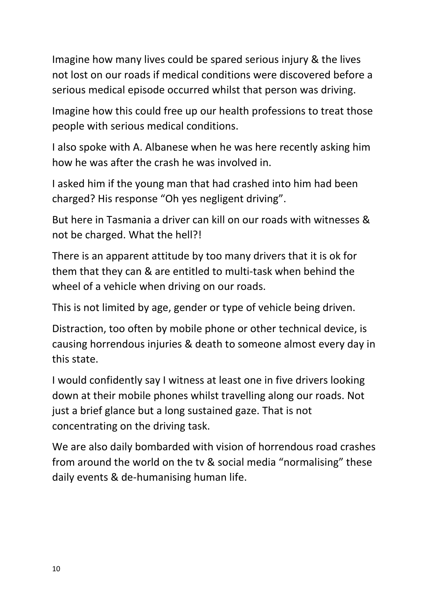Imagine how many lives could be spared serious injury & the lives not lost on our roads if medical conditions were discovered before a serious medical episode occurred whilst that person was driving.

Imagine how this could free up our health professions to treat those people with serious medical conditions.

I also spoke with A. Albanese when he was here recently asking him how he was after the crash he was involved in.

I asked him if the young man that had crashed into him had been charged? His response "Oh yes negligent driving".

But here in Tasmania a driver can kill on our roads with witnesses & not be charged. What the hell?!

There is an apparent attitude by too many drivers that it is ok for them that they can & are entitled to multi-task when behind the wheel of a vehicle when driving on our roads.

This is not limited by age, gender or type of vehicle being driven.

Distraction, too often by mobile phone or other technical device, is causing horrendous injuries & death to someone almost every day in this state.

I would confidently say I witness at least one in five drivers looking down at their mobile phones whilst travelling along our roads. Not just a brief glance but a long sustained gaze. That is not concentrating on the driving task.

We are also daily bombarded with vision of horrendous road crashes from around the world on the tv & social media "normalising" these daily events & de-humanising human life.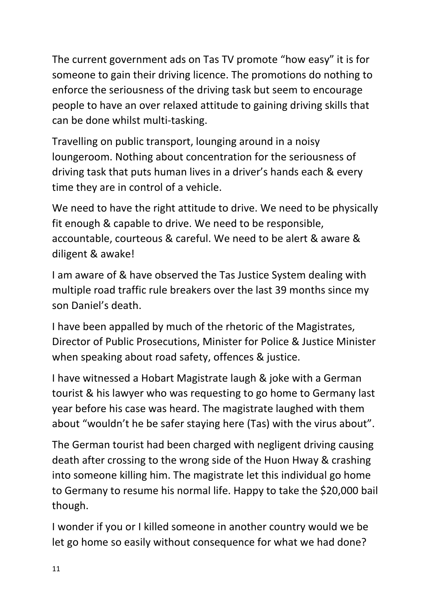The current government ads on Tas TV promote "how easy" it is for someone to gain their driving licence. The promotions do nothing to enforce the seriousness of the driving task but seem to encourage people to have an over relaxed attitude to gaining driving skills that can be done whilst multi-tasking.

Travelling on public transport, lounging around in a noisy loungeroom. Nothing about concentration for the seriousness of driving task that puts human lives in a driver's hands each & every time they are in control of a vehicle.

We need to have the right attitude to drive. We need to be physically fit enough & capable to drive. We need to be responsible, accountable, courteous & careful. We need to be alert & aware & diligent & awake!

I am aware of & have observed the Tas Justice System dealing with multiple road traffic rule breakers over the last 39 months since my son Daniel's death.

I have been appalled by much of the rhetoric of the Magistrates, Director of Public Prosecutions, Minister for Police & Justice Minister when speaking about road safety, offences & justice.

I have witnessed a Hobart Magistrate laugh & joke with a German tourist & his lawyer who was requesting to go home to Germany last year before his case was heard. The magistrate laughed with them about "wouldn't he be safer staying here (Tas) with the virus about".

The German tourist had been charged with negligent driving causing death after crossing to the wrong side of the Huon Hway & crashing into someone killing him. The magistrate let this individual go home to Germany to resume his normal life. Happy to take the \$20,000 bail though.

I wonder if you or I killed someone in another country would we be let go home so easily without consequence for what we had done?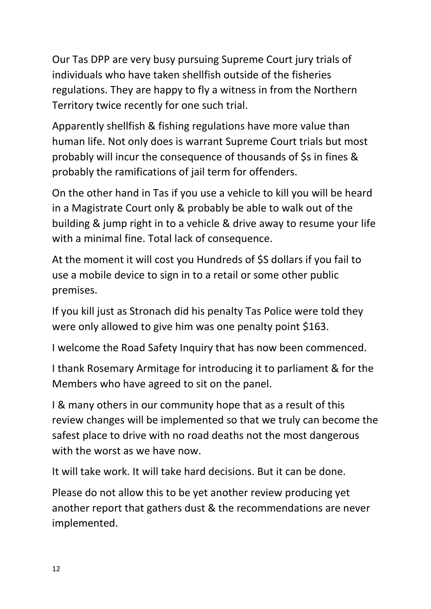Our Tas DPP are very busy pursuing Supreme Court jury trials of individuals who have taken shellfish outside of the fisheries regulations. They are happy to fly a witness in from the Northern Territory twice recently for one such trial.

Apparently shellfish & fishing regulations have more value than human life. Not only does is warrant Supreme Court trials but most probably will incur the consequence of thousands of \$s in fines & probably the ramifications of jail term for offenders.

On the other hand in Tas if you use a vehicle to kill you will be heard in a Magistrate Court only & probably be able to walk out of the building & jump right in to a vehicle & drive away to resume your life with a minimal fine. Total lack of consequence.

At the moment it will cost you Hundreds of \$S dollars if you fail to use a mobile device to sign in to a retail or some other public premises.

If you kill just as Stronach did his penalty Tas Police were told they were only allowed to give him was one penalty point \$163.

I welcome the Road Safety Inquiry that has now been commenced.

I thank Rosemary Armitage for introducing it to parliament & for the Members who have agreed to sit on the panel.

I & many others in our community hope that as a result of this review changes will be implemented so that we truly can become the safest place to drive with no road deaths not the most dangerous with the worst as we have now.

It will take work. It will take hard decisions. But it can be done.

Please do not allow this to be yet another review producing yet another report that gathers dust & the recommendations are never implemented.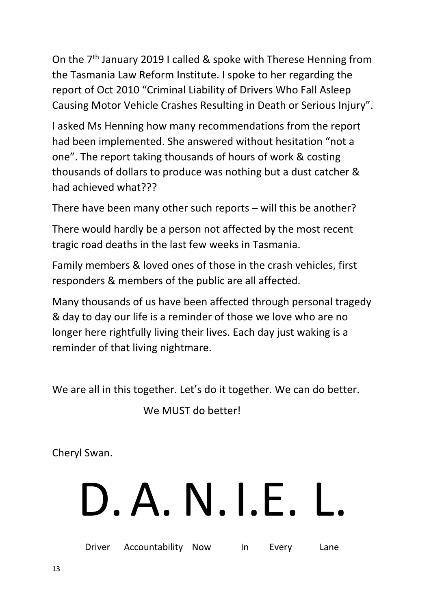On the 7<sup>th</sup> January 2019 I called & spoke with Therese Henning from the Tasmania Law Reform Institute. I spoke to her regarding the report of Oct 2010 "Criminal Liability of Drivers Who Fall Asleep Causing Motor Vehicle Crashes Resulting in Death or Serious Injury".

I asked Ms Henning how many recommendations from the report had been implemented. She answered without hesitation "not a one". The report taking thousands of hours of work & costing thousands of dollars to produce was nothing but a dust catcher & had achieved what???

There have been many other such reports – will this be another?

There would hardly be a person not affected by the most recent tragic road deaths in the last few weeks in Tasmania.

Family members & loved ones of those in the crash vehicles, first responders & members of the public are all affected.

Many thousands of us have been affected through personal tragedy & day to day our life is a reminder of those we love who are no longer here rightfully living their lives. Each day just waking is a reminder of that living nightmare.

We are all in this together. Let's do it together. We can do better.

We MUST do better!

Cheryl Swan.